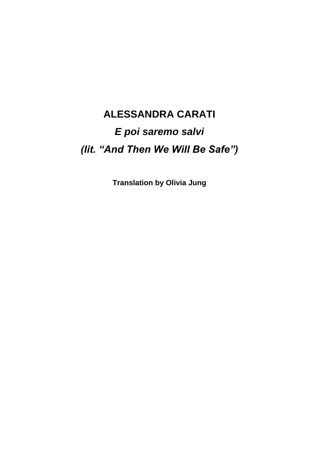# **ALESSANDRA CARATI** *E poi saremo salvi (lit. "And Then We Will Be Safe")*

**Translation by Olivia Jung**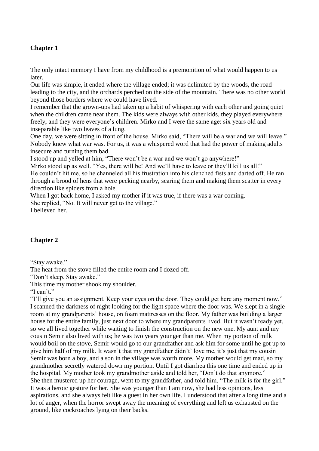# **Chapter 1**

The only intact memory I have from my childhood is a premonition of what would happen to us later.

Our life was simple, it ended where the village ended; it was delimited by the woods, the road leading to the city, and the orchards perched on the side of the mountain. There was no other world beyond those borders where we could have lived.

I remember that the grown-ups had taken up a habit of whispering with each other and going quiet when the children came near them. The kids were always with other kids, they played everywhere freely, and they were everyone's children. Mirko and I were the same age: six years old and inseparable like two leaves of a lung.

One day, we were sitting in front of the house. Mirko said, "There will be a war and we will leave." Nobody knew what war was. For us, it was a whispered word that had the power of making adults insecure and turning them bad.

I stood up and yelled at him, "There won't be a war and we won't go anywhere!"

Mirko stood up as well. "Yes, there will be! And we'll have to leave or they'll kill us all!" He couldn't hit me, so he channeled all his frustration into his clenched fists and darted off. He ran through a brood of hens that were pecking nearby, scaring them and making them scatter in every direction like spiders from a hole.

When I got back home, I asked my mother if it was true, if there was a war coming. She replied, "No. It will never get to the village." I believed her.

## **Chapter 2**

"Stay awake."

The heat from the stove filled the entire room and I dozed off.

"Don't sleep. Stay awake."

This time my mother shook my shoulder.

"I can't."

"I'll give you an assignment. Keep your eyes on the door. They could get here any moment now." I scanned the darkness of night looking for the light space where the door was. We slept in a single room at my grandparents' house, on foam mattresses on the floor. My father was building a larger house for the entire family, just next door to where my grandparents lived. But it wasn't ready yet, so we all lived together while waiting to finish the construction on the new one. My aunt and my cousin Semir also lived with us; he was two years younger than me. When my portion of milk would boil on the stove, Semir would go to our grandfather and ask him for some until he got up to give him half of my milk. It wasn't that my grandfather didn't' love me, it's just that my cousin Semir was born a boy, and a son in the village was worth more. My mother would get mad, so my grandmother secretly watered down my portion. Until I got diarrhea this one time and ended up in the hospital. My mother took my grandmother aside and told her, "Don't do that anymore." She then mustered up her courage, went to my grandfather, and told him, "The milk is for the girl." It was a heroic gesture for her. She was younger than I am now, she had less opinions, less aspirations, and she always felt like a guest in her own life. I understood that after a long time and a lot of anger, when the horror swept away the meaning of everything and left us exhausted on the ground, like cockroaches lying on their backs.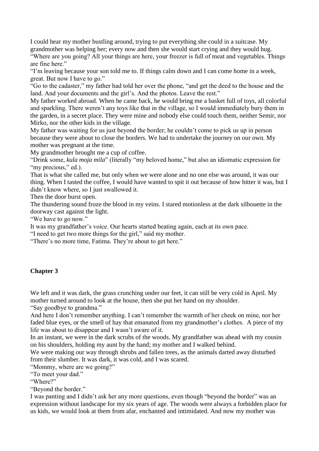I could hear my mother bustling around, trying to put everything she could in a suitcase. My grandmother was helping her; every now and then she would start crying and they would hug.

"Where are you going? All your things are here, your freezer is full of meat and vegetables. Things are fine here."

"I'm leaving because your son told me to. If things calm down and I can come home in a week, great. But now I have to go."

"Go to the cadaster," my father had told her over the phone, "and get the deed to the house and the land. And your documents and the girl's. And the photos. Leave the rest."

My father worked abroad. When he came back, he would bring me a basket full of toys, all colorful and sparkling. There weren't any toys like that in the village, so I would immediately bury them in the garden, in a secret place. They were mine and nobody else could touch them, neither Semir, nor Mirko, nor the other kids in the village.

My father was waiting for us just beyond the border; he couldn't come to pick us up in person because they were about to close the borders. We had to undertake the journey on our own. My mother was pregnant at the time.

My grandmother brought me a cup of coffee.

"Drink some, *kula moja mila*" (literally "my beloved home," but also an idiomatic expression for "my precious," ed.).

That is what she called me, but only when we were alone and no one else was around, it was our thing. When I tasted the coffee, I would have wanted to spit it out because of how bitter it was, but I didn't know where, so I just swallowed it.

Then the door burst open.

The thundering sound froze the blood in my veins. I stared motionless at the dark silhouette in the doorway cast against the light.

"We have to go now."

It was my grandfather's voice. Our hearts started beating again, each at its own pace.

"I need to get two more things for the girl," said my mother.

"There's no more time, Fatima. They're about to get here."

## **Chapter 3**

We left and it was dark, the grass crunching under our feet, it can still be very cold in April. My mother turned around to look at the house, then she put her hand on my shoulder.

"Say goodbye to grandma."

And here I don't remember anything. I can't remember the warmth of her cheek on mine, nor her faded blue eyes, or the smell of hay that emanated from my grandmother's clothes. A piece of my life was about to disappear and I wasn't aware of it.

In an instant, we were in the dark scrubs of the woods. My grandfather was ahead with my cousin on his shoulders, holding my aunt by the hand; my mother and I walked behind.

We were making our way through shrubs and fallen trees, as the animals darted away disturbed from their slumber. It was dark, it was cold, and I was scared.

"Mommy, where are we going?"

"To meet your dad."

"Where?"

"Beyond the border."

I was panting and I didn't ask her any more questions, even though "beyond the border" was an expression without landscape for my six years of age. The woods were always a forbidden place for us kids, we would look at them from afar, enchanted and intimidated. And now my mother was